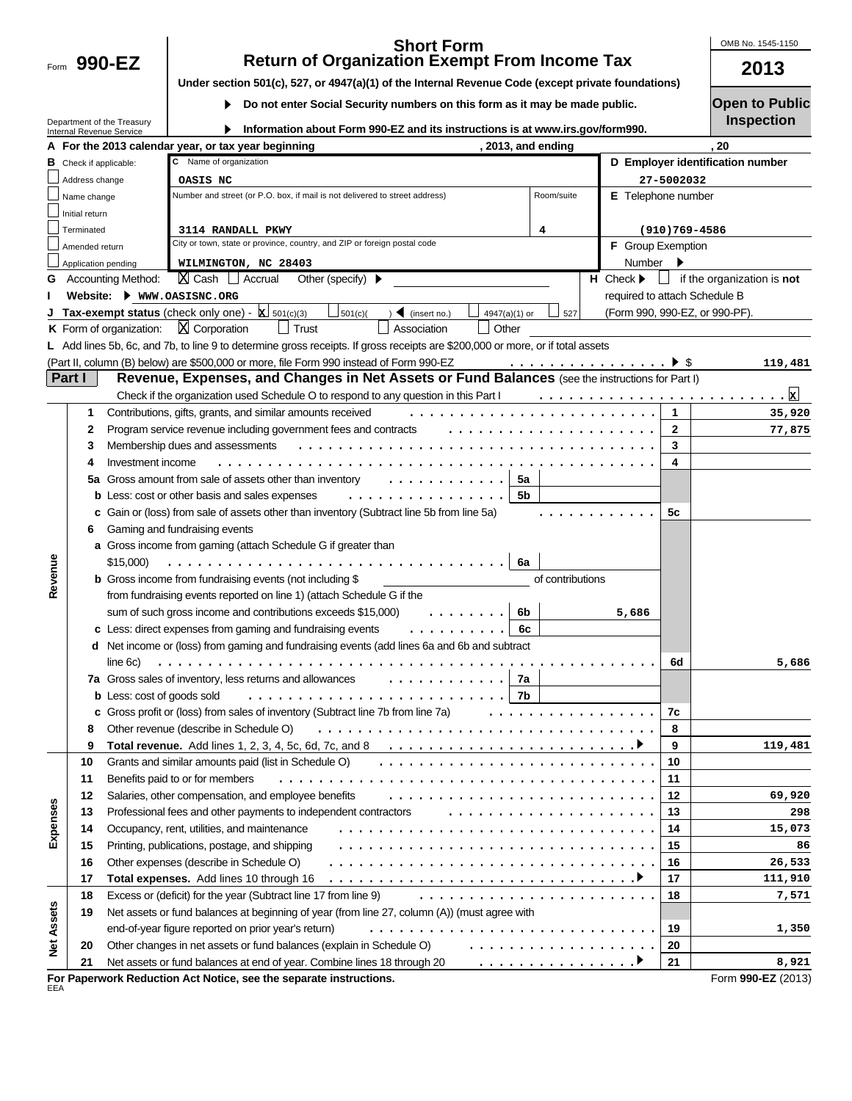Form 990-EZ

### **990-EZ 2013 Short Form Return of Organization Exempt From Income Tax**

OMB No. 1545-1150

| Under section 501(c), 527, or 4947(a)(1) of the Internal Revenue Code (except private foundations) |  |  |  |  |  |
|----------------------------------------------------------------------------------------------------|--|--|--|--|--|
|                                                                                                    |  |  |  |  |  |

 $\blacktriangleright$ **Do not enter Social Security numbers on this form as it may be made public.** 

Department of the Treasury Internal Revenue Service

 $\blacktriangleright$ **Information about Form 990-EZ and its instructions is at www.irs.gov/form990.**

| <b>Open to Public</b> |  |  |
|-----------------------|--|--|

|  |  | <b>Inspection</b> |
|--|--|-------------------|
|  |  |                   |
|  |  |                   |

|            |                               | inenial Revenue Service                                                                                                          |                                                                                                                                |                    |                                 |                                  |  |  |  |  |  |
|------------|-------------------------------|----------------------------------------------------------------------------------------------------------------------------------|--------------------------------------------------------------------------------------------------------------------------------|--------------------|---------------------------------|----------------------------------|--|--|--|--|--|
|            |                               |                                                                                                                                  | A For the 2013 calendar year, or tax year beginning                                                                            | , 2013, and ending |                                 | 20                               |  |  |  |  |  |
|            | <b>B</b> Check if applicable: |                                                                                                                                  | C Name of organization                                                                                                         |                    |                                 | D Employer identification number |  |  |  |  |  |
|            | Address change                |                                                                                                                                  | OASIS NC                                                                                                                       |                    |                                 | 27-5002032                       |  |  |  |  |  |
|            | Name change                   |                                                                                                                                  | Number and street (or P.O. box, if mail is not delivered to street address)                                                    | Room/suite         |                                 | E Telephone number               |  |  |  |  |  |
|            | Initial return                |                                                                                                                                  |                                                                                                                                |                    |                                 |                                  |  |  |  |  |  |
|            | Terminated                    |                                                                                                                                  | 3114 RANDALL PKWY                                                                                                              | 4                  |                                 | $(910)769 - 4586$                |  |  |  |  |  |
|            | Amended return                |                                                                                                                                  | City or town, state or province, country, and ZIP or foreign postal code                                                       |                    | <b>F</b> Group Exemption        |                                  |  |  |  |  |  |
|            | Application pending           |                                                                                                                                  | WILMINGTON, NC 28403                                                                                                           |                    | Number                          |                                  |  |  |  |  |  |
|            |                               | <b>Accounting Method:</b>                                                                                                        | $X$ Cash $\Box$ Accrual<br>Other (specify) $\blacktriangleright$                                                               |                    | $H$ Check $\blacktriangleright$ | if the organization is not       |  |  |  |  |  |
|            |                               |                                                                                                                                  | Website: Www.OASISNC.ORG                                                                                                       |                    |                                 | required to attach Schedule B    |  |  |  |  |  |
|            |                               |                                                                                                                                  | Tax-exempt status (check only one) - $ \underline{x} $ 501(c)(3)<br>$\frac{1}{2}$ 501(c)(<br>(insert no.)<br>4947(a)(1) or     | 527                |                                 | (Form 990, 990-EZ, or 990-PF).   |  |  |  |  |  |
|            |                               | K Form of organization:                                                                                                          | $X$ Corporation<br>$\Box$ Trust<br>Association<br>Other                                                                        |                    |                                 |                                  |  |  |  |  |  |
|            |                               |                                                                                                                                  | L Add lines 5b, 6c, and 7b, to line 9 to determine gross receipts. If gross receipts are \$200,000 or more, or if total assets |                    |                                 |                                  |  |  |  |  |  |
|            |                               |                                                                                                                                  | (Part II, column (B) below) are \$500,000 or more, file Form 990 instead of Form 990-EZ                                        |                    |                                 | 119,481                          |  |  |  |  |  |
|            | Part I                        |                                                                                                                                  | Revenue, Expenses, and Changes in Net Assets or Fund Balances (see the instructions for Part I)                                |                    |                                 |                                  |  |  |  |  |  |
|            |                               |                                                                                                                                  | Check if the organization used Schedule O to respond to any question in this Part I                                            |                    |                                 | $\cdot \mathbf{x}$               |  |  |  |  |  |
|            | 1                             |                                                                                                                                  | Contributions, gifts, grants, and similar amounts received                                                                     |                    |                                 | 1<br>35,920                      |  |  |  |  |  |
|            | 2                             |                                                                                                                                  | Program service revenue including government fees and contracts                                                                | .                  |                                 | $\mathbf{2}$<br>77,875           |  |  |  |  |  |
|            | З                             |                                                                                                                                  | Membership dues and assessments                                                                                                |                    |                                 | 3                                |  |  |  |  |  |
|            | 4                             | Investment income                                                                                                                |                                                                                                                                |                    |                                 | 4                                |  |  |  |  |  |
|            |                               |                                                                                                                                  |                                                                                                                                | 5а                 |                                 |                                  |  |  |  |  |  |
|            | 5а                            |                                                                                                                                  | Gross amount from sale of assets other than inventory                                                                          | <b>5b</b>          |                                 |                                  |  |  |  |  |  |
|            |                               |                                                                                                                                  | <b>b</b> Less: cost or other basis and sales expenses                                                                          |                    |                                 |                                  |  |  |  |  |  |
|            |                               | c Gain or (loss) from sale of assets other than inventory (Subtract line 5b from line 5a)<br>5c<br>Gaming and fundraising events |                                                                                                                                |                    |                                 |                                  |  |  |  |  |  |
|            | 6                             |                                                                                                                                  | a Gross income from gaming (attach Schedule G if greater than                                                                  |                    |                                 |                                  |  |  |  |  |  |
|            |                               |                                                                                                                                  | 6a                                                                                                                             |                    |                                 |                                  |  |  |  |  |  |
|            |                               | \$15,000)                                                                                                                        | .                                                                                                                              |                    |                                 |                                  |  |  |  |  |  |
| Revenue    |                               |                                                                                                                                  | <b>b</b> Gross income from fundraising events (not including \$<br>of contributions                                            |                    |                                 |                                  |  |  |  |  |  |
|            |                               |                                                                                                                                  | from fundraising events reported on line 1) (attach Schedule G if the                                                          |                    |                                 |                                  |  |  |  |  |  |
|            |                               |                                                                                                                                  | sum of such gross income and contributions exceeds \$15,000)                                                                   | 6b                 | 5,686                           |                                  |  |  |  |  |  |
|            |                               |                                                                                                                                  | c Less: direct expenses from gaming and fundraising events                                                                     | 6с                 |                                 |                                  |  |  |  |  |  |
|            |                               |                                                                                                                                  | d Net income or (loss) from gaming and fundraising events (add lines 6a and 6b and subtract                                    |                    |                                 |                                  |  |  |  |  |  |
|            |                               | line 6c)                                                                                                                         |                                                                                                                                |                    |                                 | 5,686<br>6d                      |  |  |  |  |  |
|            |                               |                                                                                                                                  | 7a Gross sales of inventory, less returns and allowances                                                                       | 7a                 |                                 |                                  |  |  |  |  |  |
|            |                               | <b>b</b> Less: cost of goods sold                                                                                                |                                                                                                                                | 7b                 |                                 |                                  |  |  |  |  |  |
|            |                               |                                                                                                                                  | c Gross profit or (loss) from sales of inventory (Subtract line 7b from line 7a)                                               |                    |                                 | 7c                               |  |  |  |  |  |
|            | 8                             |                                                                                                                                  | Other revenue (describe in Schedule O)<br>.                                                                                    |                    |                                 | 8                                |  |  |  |  |  |
|            | 9                             |                                                                                                                                  | <b>Total revenue.</b> Add lines 1, 2, 3, 4, 5c, 6d, 7c, and 8                                                                  |                    |                                 | 9<br>119,481                     |  |  |  |  |  |
|            | 10                            |                                                                                                                                  | Grants and similar amounts paid (list in Schedule O)                                                                           |                    |                                 | 10                               |  |  |  |  |  |
|            | 11                            |                                                                                                                                  | Benefits paid to or for members                                                                                                |                    |                                 | 11                               |  |  |  |  |  |
|            | 12                            |                                                                                                                                  | Salaries, other compensation, and employee benefits                                                                            |                    |                                 | 12<br>69,920                     |  |  |  |  |  |
| Expenses   | 13                            |                                                                                                                                  | Professional fees and other payments to independent contractors                                                                |                    |                                 | 298<br>13                        |  |  |  |  |  |
|            | 14                            |                                                                                                                                  | Occupancy, rent, utilities, and maintenance                                                                                    |                    |                                 | 15,073<br>14                     |  |  |  |  |  |
|            | 15                            |                                                                                                                                  | Printing, publications, postage, and shipping                                                                                  | 86<br>15           |                                 |                                  |  |  |  |  |  |
|            | 16                            |                                                                                                                                  | Other expenses (describe in Schedule O)<br>26,533<br>16                                                                        |                    |                                 |                                  |  |  |  |  |  |
|            | 17                            |                                                                                                                                  | Total expenses. Add lines 10 through 16                                                                                        |                    |                                 | 17<br>111,910                    |  |  |  |  |  |
|            | 18                            |                                                                                                                                  | Excess or (deficit) for the year (Subtract line 17 from line 9)                                                                |                    |                                 | 18<br>7,571                      |  |  |  |  |  |
|            | 19                            |                                                                                                                                  | Net assets or fund balances at beginning of year (from line 27, column (A)) (must agree with                                   |                    |                                 |                                  |  |  |  |  |  |
|            |                               |                                                                                                                                  |                                                                                                                                |                    |                                 |                                  |  |  |  |  |  |
| Net Assets |                               |                                                                                                                                  | end-of-year figure reported on prior year's return)                                                                            |                    |                                 | 19<br>1,350                      |  |  |  |  |  |
|            | 20                            |                                                                                                                                  | Other changes in net assets or fund balances (explain in Schedule O)                                                           | .                  |                                 | 20                               |  |  |  |  |  |
|            | 21                            |                                                                                                                                  | Net assets or fund balances at end of year. Combine lines 18 through 20                                                        | .                  |                                 | 21<br>8,921                      |  |  |  |  |  |
| EEA        |                               |                                                                                                                                  | For Paperwork Reduction Act Notice, see the separate instructions.                                                             |                    |                                 | Form 990-EZ (2013)               |  |  |  |  |  |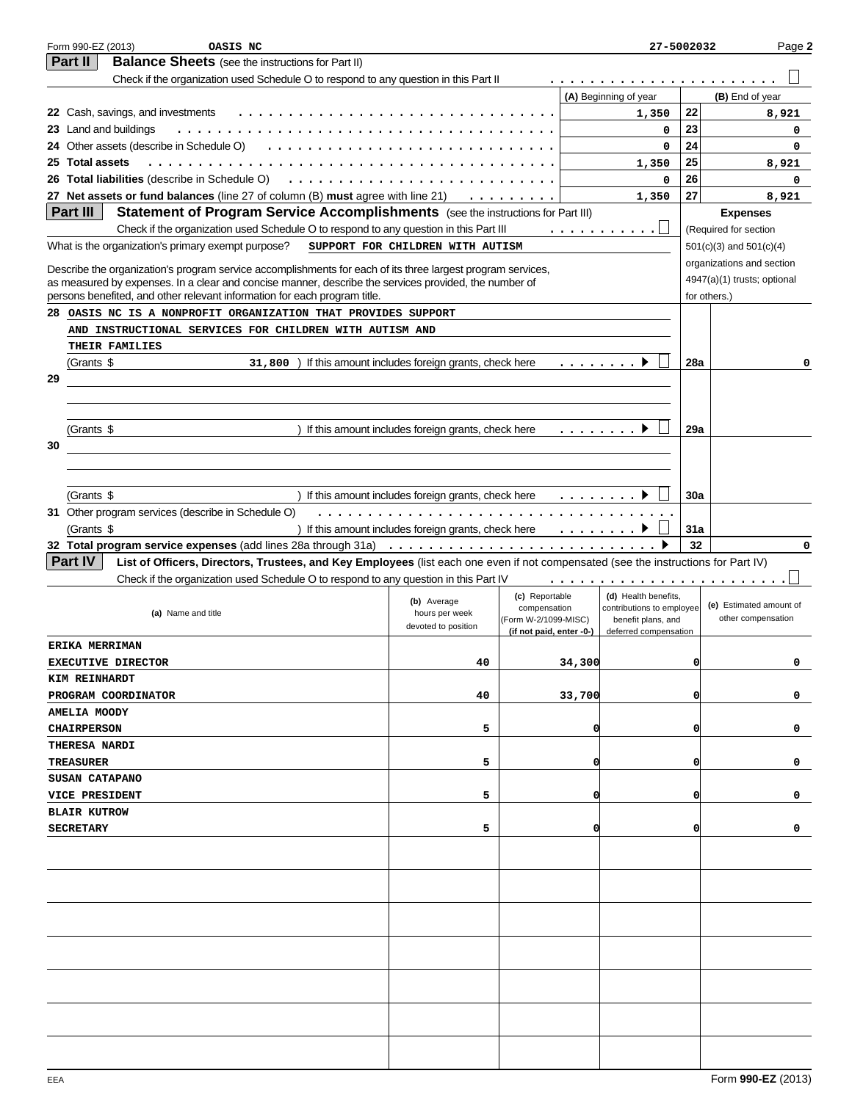|    | Form 990-EZ (2013)<br>OASIS NC                                                                                                                                                     |                                                      |                                |                                                                                                                                                         | 27-5002032                                        |            | Page 2                                      |
|----|------------------------------------------------------------------------------------------------------------------------------------------------------------------------------------|------------------------------------------------------|--------------------------------|---------------------------------------------------------------------------------------------------------------------------------------------------------|---------------------------------------------------|------------|---------------------------------------------|
|    | Part II<br><b>Balance Sheets</b> (see the instructions for Part II)                                                                                                                |                                                      |                                |                                                                                                                                                         |                                                   |            |                                             |
|    | Check if the organization used Schedule O to respond to any question in this Part II                                                                                               |                                                      |                                |                                                                                                                                                         |                                                   |            |                                             |
|    |                                                                                                                                                                                    |                                                      |                                |                                                                                                                                                         | (A) Beginning of year                             |            | (B) End of year                             |
|    | 22 Cash, savings, and investments                                                                                                                                                  |                                                      |                                |                                                                                                                                                         | 1,350                                             | 22         | 8,921                                       |
|    | 23 Land and buildings                                                                                                                                                              |                                                      |                                |                                                                                                                                                         | 0                                                 | 23         | 0                                           |
|    | 24 Other assets (describe in Schedule O)                                                                                                                                           |                                                      |                                |                                                                                                                                                         | $\mathbf 0$                                       | 24         | 0                                           |
|    | 25 Total assets                                                                                                                                                                    |                                                      |                                |                                                                                                                                                         | 1,350                                             | 25         | 8,921                                       |
|    | 26 Total liabilities (describe in Schedule O)                                                                                                                                      |                                                      |                                |                                                                                                                                                         | $\mathbf 0$                                       | 26         | 0                                           |
|    | 27 Net assets or fund balances (line 27 of column (B) must agree with line 21)                                                                                                     |                                                      |                                |                                                                                                                                                         | 1,350                                             | 27         | 8,921                                       |
|    | Part III<br>Statement of Program Service Accomplishments (see the instructions for Part III)                                                                                       |                                                      |                                |                                                                                                                                                         |                                                   |            | <b>Expenses</b>                             |
|    | Check if the organization used Schedule O to respond to any question in this Part III                                                                                              |                                                      |                                |                                                                                                                                                         | .                                                 |            | (Required for section                       |
|    | What is the organization's primary exempt purpose?                                                                                                                                 | SUPPORT FOR CHILDREN WITH AUTISM                     |                                |                                                                                                                                                         |                                                   |            | $501(c)(3)$ and $501(c)(4)$                 |
|    |                                                                                                                                                                                    |                                                      |                                |                                                                                                                                                         |                                                   |            |                                             |
|    | Describe the organization's program service accomplishments for each of its three largest program services,                                                                        |                                                      |                                |                                                                                                                                                         |                                                   |            | organizations and section                   |
|    | as measured by expenses. In a clear and concise manner, describe the services provided, the number of<br>persons benefited, and other relevant information for each program title. |                                                      |                                |                                                                                                                                                         |                                                   |            | 4947(a)(1) trusts; optional<br>for others.) |
|    | 28 OASIS NC IS A NONPROFIT ORGANIZATION THAT PROVIDES SUPPORT                                                                                                                      |                                                      |                                |                                                                                                                                                         |                                                   |            |                                             |
|    | AND INSTRUCTIONAL SERVICES FOR CHILDREN WITH AUTISM AND                                                                                                                            |                                                      |                                |                                                                                                                                                         |                                                   |            |                                             |
|    | THEIR FAMILIES                                                                                                                                                                     |                                                      |                                |                                                                                                                                                         |                                                   |            |                                             |
|    | (Grants \$<br>31,800                                                                                                                                                               | ) If this amount includes foreign grants, check here |                                | .                                                                                                                                                       |                                                   | 28a        | 0                                           |
| 29 |                                                                                                                                                                                    |                                                      |                                |                                                                                                                                                         |                                                   |            |                                             |
|    |                                                                                                                                                                                    |                                                      |                                |                                                                                                                                                         |                                                   |            |                                             |
|    |                                                                                                                                                                                    |                                                      |                                |                                                                                                                                                         |                                                   |            |                                             |
|    | (Grants \$                                                                                                                                                                         | ) If this amount includes foreign grants, check here |                                |                                                                                                                                                         |                                                   | 29a        |                                             |
| 30 |                                                                                                                                                                                    |                                                      |                                |                                                                                                                                                         |                                                   |            |                                             |
|    |                                                                                                                                                                                    |                                                      |                                |                                                                                                                                                         |                                                   |            |                                             |
|    |                                                                                                                                                                                    |                                                      |                                |                                                                                                                                                         |                                                   |            |                                             |
|    | (Grants \$                                                                                                                                                                         | ) If this amount includes foreign grants, check here |                                | $\begin{array}{cccccccccccccc} \bullet & \bullet & \bullet & \bullet & \bullet & \bullet & \bullet & \bullet & \bullet & \bullet & \bullet \end{array}$ |                                                   | <b>30a</b> |                                             |
|    | 31 Other program services (describe in Schedule O)                                                                                                                                 |                                                      | .                              |                                                                                                                                                         |                                                   |            |                                             |
|    | (Grants \$                                                                                                                                                                         | ) If this amount includes foreign grants, check here |                                | $\sim$                                                                                                                                                  |                                                   | 31a        |                                             |
|    |                                                                                                                                                                                    |                                                      |                                |                                                                                                                                                         |                                                   | 32         | $\Omega$                                    |
|    | <b>Part IV</b><br>List of Officers, Directors, Trustees, and Key Employees (list each one even if not compensated (see the instructions for Part IV)                               |                                                      |                                |                                                                                                                                                         |                                                   |            |                                             |
|    | Check if the organization used Schedule O to respond to any question in this Part IV                                                                                               |                                                      |                                |                                                                                                                                                         |                                                   |            |                                             |
|    |                                                                                                                                                                                    |                                                      |                                |                                                                                                                                                         |                                                   |            |                                             |
|    |                                                                                                                                                                                    | (b) Average                                          | (c) Reportable<br>compensation |                                                                                                                                                         | (d) Health benefits,<br>contributions to employee |            | (e) Estimated amount of                     |
|    | (a) Name and title                                                                                                                                                                 | hours per week<br>devoted to position                | (Form W-2/1099-MISC)           |                                                                                                                                                         | benefit plans, and                                |            | other compensation                          |
|    |                                                                                                                                                                                    |                                                      | (if not paid, enter -0-)       |                                                                                                                                                         | deferred compensation                             |            |                                             |
|    | <b>ERIKA MERRIMAN</b>                                                                                                                                                              |                                                      |                                |                                                                                                                                                         |                                                   |            |                                             |
|    | <b>EXECUTIVE DIRECTOR</b>                                                                                                                                                          | 40                                                   |                                | 34,300                                                                                                                                                  |                                                   | 0          |                                             |
|    | KIM REINHARDT                                                                                                                                                                      |                                                      |                                |                                                                                                                                                         |                                                   |            |                                             |
|    | PROGRAM COORDINATOR                                                                                                                                                                | 40                                                   |                                | 33,700                                                                                                                                                  |                                                   | O          | 0                                           |
|    | <b>AMELIA MOODY</b>                                                                                                                                                                |                                                      |                                |                                                                                                                                                         |                                                   |            |                                             |
|    | <b>CHAIRPERSON</b>                                                                                                                                                                 | 5                                                    |                                |                                                                                                                                                         |                                                   |            | 0                                           |
|    | <b>THERESA NARDI</b>                                                                                                                                                               |                                                      |                                |                                                                                                                                                         |                                                   |            |                                             |
|    | <b>TREASURER</b>                                                                                                                                                                   | 5                                                    |                                |                                                                                                                                                         |                                                   | O          | 0                                           |
|    | SUSAN CATAPANO                                                                                                                                                                     |                                                      |                                |                                                                                                                                                         |                                                   |            |                                             |
|    | <b>VICE PRESIDENT</b>                                                                                                                                                              | 5                                                    |                                |                                                                                                                                                         |                                                   | O          | 0                                           |
|    | <b>BLAIR KUTROW</b>                                                                                                                                                                |                                                      |                                |                                                                                                                                                         |                                                   |            |                                             |
|    | <b>SECRETARY</b>                                                                                                                                                                   | 5                                                    |                                |                                                                                                                                                         |                                                   |            | 0                                           |
|    |                                                                                                                                                                                    |                                                      |                                |                                                                                                                                                         |                                                   |            |                                             |
|    |                                                                                                                                                                                    |                                                      |                                |                                                                                                                                                         |                                                   |            |                                             |
|    |                                                                                                                                                                                    |                                                      |                                |                                                                                                                                                         |                                                   |            |                                             |
|    |                                                                                                                                                                                    |                                                      |                                |                                                                                                                                                         |                                                   |            |                                             |
|    |                                                                                                                                                                                    |                                                      |                                |                                                                                                                                                         |                                                   |            |                                             |
|    |                                                                                                                                                                                    |                                                      |                                |                                                                                                                                                         |                                                   |            |                                             |
|    |                                                                                                                                                                                    |                                                      |                                |                                                                                                                                                         |                                                   |            |                                             |
|    |                                                                                                                                                                                    |                                                      |                                |                                                                                                                                                         |                                                   |            |                                             |
|    |                                                                                                                                                                                    |                                                      |                                |                                                                                                                                                         |                                                   |            |                                             |
|    |                                                                                                                                                                                    |                                                      |                                |                                                                                                                                                         |                                                   |            |                                             |
|    |                                                                                                                                                                                    |                                                      |                                |                                                                                                                                                         |                                                   |            |                                             |
|    |                                                                                                                                                                                    |                                                      |                                |                                                                                                                                                         |                                                   |            |                                             |
|    |                                                                                                                                                                                    |                                                      |                                |                                                                                                                                                         |                                                   |            |                                             |
|    |                                                                                                                                                                                    |                                                      |                                |                                                                                                                                                         |                                                   |            |                                             |
|    |                                                                                                                                                                                    |                                                      |                                |                                                                                                                                                         |                                                   |            |                                             |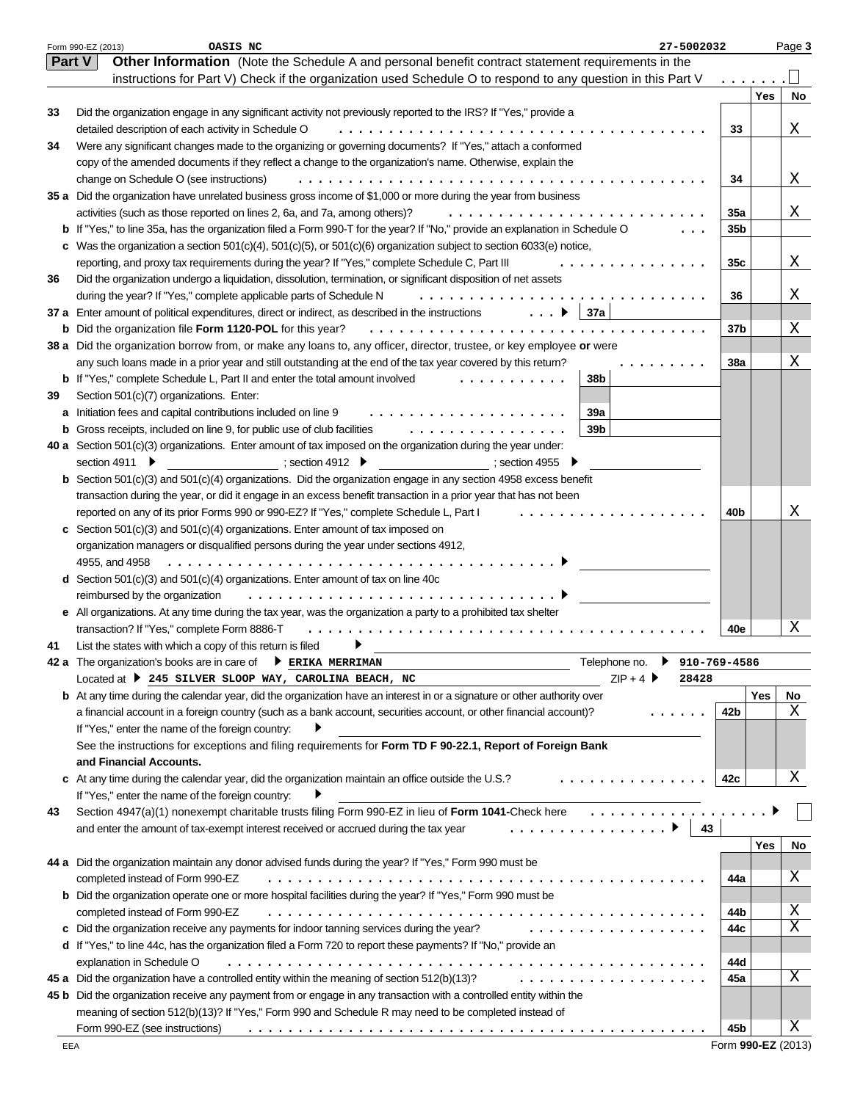|    | 27-5002032<br>Form 990-EZ (2013)<br>OASIS NC                                                                                   |                 |            | Page 3 |
|----|--------------------------------------------------------------------------------------------------------------------------------|-----------------|------------|--------|
|    | Other Information (Note the Schedule A and personal benefit contract statement requirements in the<br><b>Part V</b>            |                 |            |        |
|    | instructions for Part V) Check if the organization used Schedule O to respond to any question in this Part V                   |                 |            |        |
|    |                                                                                                                                |                 | <b>Yes</b> | No     |
| 33 | Did the organization engage in any significant activity not previously reported to the IRS? If "Yes," provide a                |                 |            |        |
|    | detailed description of each activity in Schedule O                                                                            | 33              |            | Χ      |
| 34 | Were any significant changes made to the organizing or governing documents? If "Yes," attach a conformed                       |                 |            |        |
|    | copy of the amended documents if they reflect a change to the organization's name. Otherwise, explain the                      |                 |            |        |
|    | change on Schedule O (see instructions)                                                                                        | 34              |            | Χ      |
|    | 35 a Did the organization have unrelated business gross income of \$1,000 or more during the year from business                |                 |            |        |
|    | activities (such as those reported on lines 2, 6a, and 7a, among others)?                                                      | 35a             |            | Χ      |
|    | b If "Yes," to line 35a, has the organization filed a Form 990-T for the year? If "No," provide an explanation in Schedule O   | 35b             |            |        |
|    | c Was the organization a section $501(c)(4)$ , $501(c)(5)$ , or $501(c)(6)$ organization subject to section 6033(e) notice,    |                 |            |        |
|    | reporting, and proxy tax requirements during the year? If "Yes," complete Schedule C, Part III                                 | 35 <sub>c</sub> |            | Χ      |
|    |                                                                                                                                |                 |            |        |
| 36 | Did the organization undergo a liquidation, dissolution, termination, or significant disposition of net assets                 |                 |            |        |
|    | during the year? If "Yes," complete applicable parts of Schedule N<br>$\cdots$                                                 | 36              |            | х      |
|    | 37a<br>37 a Enter amount of political expenditures, direct or indirect, as described in the instructions ▶                     |                 |            |        |
|    | <b>b</b> Did the organization file Form 1120-POL for this year?                                                                | 37b             |            | Χ      |
|    | 38 a Did the organization borrow from, or make any loans to, any officer, director, trustee, or key employee or were           |                 |            |        |
|    | any such loans made in a prior year and still outstanding at the end of the tax year covered by this return?                   | <b>38a</b>      |            | Χ      |
|    | 38b<br><b>b</b> If "Yes," complete Schedule L, Part II and enter the total amount involved                                     |                 |            |        |
| 39 | Section 501(c)(7) organizations. Enter:                                                                                        |                 |            |        |
|    | 39a<br>a Initiation fees and capital contributions included on line 9                                                          |                 |            |        |
|    | 39 <sub>b</sub><br><b>b</b> Gross receipts, included on line 9, for public use of club facilities<br>.                         |                 |            |        |
|    | <b>40 a</b> Section 501 $(c)(3)$ organizations. Enter amount of tax imposed on the organization during the year under:         |                 |            |        |
|    | ; section 4912 $\blacktriangleright$<br>section 4911 ▶<br>$\sim$ section 4955 $\sim$                                           |                 |            |        |
|    | <b>b</b> Section $501(c)(3)$ and $501(c)(4)$ organizations. Did the organization engage in any section 4958 excess benefit     |                 |            |        |
|    | transaction during the year, or did it engage in an excess benefit transaction in a prior year that has not been               |                 |            |        |
|    | reported on any of its prior Forms 990 or 990-EZ? If "Yes," complete Schedule L, Part I                                        | 40b             |            | Χ      |
|    | c Section 501(c)(3) and 501(c)(4) organizations. Enter amount of tax imposed on                                                |                 |            |        |
|    | organization managers or disqualified persons during the year under sections 4912,                                             |                 |            |        |
|    | 4955, and 4958                                                                                                                 |                 |            |        |
|    | <b>d</b> Section 501(c)(3) and 501(c)(4) organizations. Enter amount of tax on line 40c                                        |                 |            |        |
|    | reimbursed by the organization<br>.                                                                                            |                 |            |        |
|    | e All organizations. At any time during the tax year, was the organization a party to a prohibited tax shelter                 |                 |            |        |
|    | transaction? If "Yes," complete Form 8886-T                                                                                    | 40e             |            | Χ      |
| 41 | List the states with which a copy of this return is filed                                                                      |                 |            |        |
|    | Telephone no.<br>$910 - 769 - 4586$<br>42 a The organization's books are in care of <b>D</b> ERIKA MERRIMAN                    |                 |            |        |
|    | $ZIP + 4$<br>Located at > 245 SILVER SLOOP WAY, CAROLINA BEACH, NC<br>28428                                                    |                 |            |        |
|    | <b>b</b> At any time during the calendar year, did the organization have an interest in or a signature or other authority over |                 | Yes        | No     |
|    | a financial account in a foreign country (such as a bank account, securities account, or other financial account)?             | 42b             |            | Χ      |
|    | If "Yes," enter the name of the foreign country:                                                                               |                 |            |        |
|    | See the instructions for exceptions and filing requirements for Form TD F 90-22.1, Report of Foreign Bank                      |                 |            |        |
|    | and Financial Accounts.                                                                                                        |                 |            |        |
|    | c At any time during the calendar year, did the organization maintain an office outside the U.S.?<br>.                         | 42c             |            | Χ      |
|    | If "Yes," enter the name of the foreign country:                                                                               |                 |            |        |
| 43 | Section 4947(a)(1) nonexempt charitable trusts filing Form 990-EZ in lieu of Form 1041-Check here<br>.                         |                 |            |        |
|    | 43<br>and enter the amount of tax-exempt interest received or accrued during the tax year<br>.                                 |                 |            |        |
|    |                                                                                                                                |                 |            |        |
|    | 44 a Did the organization maintain any donor advised funds during the year? If "Yes," Form 990 must be                         |                 | Yes        | No     |
|    |                                                                                                                                |                 |            | Χ      |
|    | completed instead of Form 990-EZ                                                                                               | 44a             |            |        |
|    | <b>b</b> Did the organization operate one or more hospital facilities during the year? If "Yes," Form 990 must be              |                 |            |        |
|    | completed instead of Form 990-EZ                                                                                               | 44b             |            | Χ      |
|    | c Did the organization receive any payments for indoor tanning services during the year?<br>.                                  | 44с             |            | Χ      |
|    | d If "Yes," to line 44c, has the organization filed a Form 720 to report these payments? If "No," provide an                   |                 |            |        |
|    | explanation in Schedule O                                                                                                      | 44d             |            |        |
|    | 45 a Did the organization have a controlled entity within the meaning of section 512(b)(13)?<br>.                              | 45а             |            | Χ      |
|    | 45 b Did the organization receive any payment from or engage in any transaction with a controlled entity within the            |                 |            |        |
|    | meaning of section 512(b)(13)? If "Yes," Form 990 and Schedule R may need to be completed instead of                           |                 |            |        |
|    | Form 990-EZ (see instructions)                                                                                                 | 45b             |            | Χ      |

Form **990-EZ** (2013)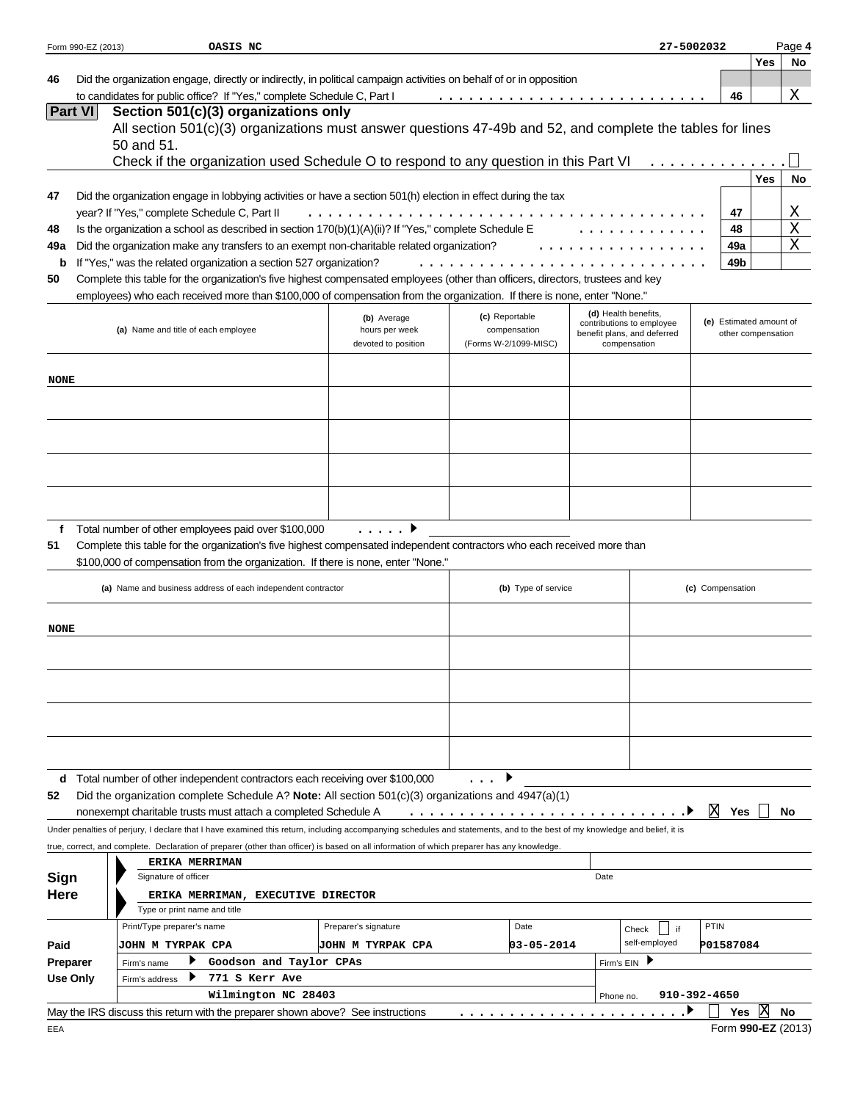|             | Form 990-EZ (2013) | OASIS NC                                                                                                                                                                       |                                       |                                       |                     |                      |                                             | 27-5002032              |                    | Page 4      |
|-------------|--------------------|--------------------------------------------------------------------------------------------------------------------------------------------------------------------------------|---------------------------------------|---------------------------------------|---------------------|----------------------|---------------------------------------------|-------------------------|--------------------|-------------|
|             |                    |                                                                                                                                                                                |                                       |                                       |                     |                      |                                             |                         | <b>Yes</b>         | No          |
| 46          |                    | Did the organization engage, directly or indirectly, in political campaign activities on behalf of or in opposition                                                            |                                       |                                       |                     |                      |                                             |                         |                    |             |
|             | <b>Part VI</b>     | to candidates for public office? If "Yes," complete Schedule C, Part I                                                                                                         |                                       |                                       | .                   |                      |                                             | 46                      |                    | Χ           |
|             |                    | Section 501(c)(3) organizations only<br>All section 501(c)(3) organizations must answer questions 47-49b and 52, and complete the tables for lines                             |                                       |                                       |                     |                      |                                             |                         |                    |             |
|             |                    | 50 and 51.                                                                                                                                                                     |                                       |                                       |                     |                      |                                             |                         |                    |             |
|             |                    | Check if the organization used Schedule O to respond to any question in this Part VI                                                                                           |                                       |                                       |                     |                      |                                             |                         |                    |             |
|             |                    |                                                                                                                                                                                |                                       |                                       |                     |                      |                                             |                         | <b>Yes</b>         | No          |
| 47          |                    | Did the organization engage in lobbying activities or have a section 501(h) election in effect during the tax                                                                  |                                       |                                       |                     |                      |                                             |                         |                    |             |
|             |                    | year? If "Yes," complete Schedule C, Part II                                                                                                                                   |                                       |                                       |                     |                      |                                             | 47                      |                    | Χ           |
| 48          |                    | Is the organization a school as described in section $170(b)(1)(A)(ii)?$ If "Yes," complete Schedule E                                                                         |                                       |                                       |                     |                      |                                             | 48                      |                    | $\mathbf X$ |
| 49a         |                    | Did the organization make any transfers to an exempt non-charitable related organization?                                                                                      |                                       |                                       |                     |                      |                                             | 49a                     |                    | X           |
| b           |                    | If "Yes," was the related organization a section 527 organization?                                                                                                             |                                       |                                       | .                   |                      |                                             | 49b                     |                    |             |
| 50          |                    | Complete this table for the organization's five highest compensated employees (other than officers, directors, trustees and key                                                |                                       |                                       |                     |                      |                                             |                         |                    |             |
|             |                    | employees) who each received more than \$100,000 of compensation from the organization. If there is none, enter "None."                                                        |                                       |                                       |                     |                      |                                             |                         |                    |             |
|             |                    |                                                                                                                                                                                | (b) Average                           | (c) Reportable                        |                     | (d) Health benefits, | contributions to employee                   | (e) Estimated amount of |                    |             |
|             |                    | (a) Name and title of each employee                                                                                                                                            | hours per week<br>devoted to position | compensation<br>(Forms W-2/1099-MISC) |                     |                      | benefit plans, and deferred<br>compensation |                         | other compensation |             |
|             |                    |                                                                                                                                                                                |                                       |                                       |                     |                      |                                             |                         |                    |             |
| <b>NONE</b> |                    |                                                                                                                                                                                |                                       |                                       |                     |                      |                                             |                         |                    |             |
|             |                    |                                                                                                                                                                                |                                       |                                       |                     |                      |                                             |                         |                    |             |
|             |                    |                                                                                                                                                                                |                                       |                                       |                     |                      |                                             |                         |                    |             |
|             |                    |                                                                                                                                                                                |                                       |                                       |                     |                      |                                             |                         |                    |             |
|             |                    |                                                                                                                                                                                |                                       |                                       |                     |                      |                                             |                         |                    |             |
|             |                    |                                                                                                                                                                                |                                       |                                       |                     |                      |                                             |                         |                    |             |
|             |                    |                                                                                                                                                                                |                                       |                                       |                     |                      |                                             |                         |                    |             |
|             |                    |                                                                                                                                                                                |                                       |                                       |                     |                      |                                             |                         |                    |             |
|             |                    |                                                                                                                                                                                |                                       |                                       |                     |                      |                                             |                         |                    |             |
| f<br>51     |                    | Total number of other employees paid over \$100,000<br>Complete this table for the organization's five highest compensated independent contractors who each received more than | $\cdot$                               |                                       |                     |                      |                                             |                         |                    |             |
|             |                    | \$100,000 of compensation from the organization. If there is none, enter "None."                                                                                               |                                       |                                       |                     |                      |                                             |                         |                    |             |
|             |                    |                                                                                                                                                                                |                                       |                                       |                     |                      |                                             |                         |                    |             |
|             |                    | (a) Name and business address of each independent contractor                                                                                                                   |                                       |                                       | (b) Type of service |                      |                                             | (c) Compensation        |                    |             |
|             |                    |                                                                                                                                                                                |                                       |                                       |                     |                      |                                             |                         |                    |             |
| NONE        |                    |                                                                                                                                                                                |                                       |                                       |                     |                      |                                             |                         |                    |             |
|             |                    |                                                                                                                                                                                |                                       |                                       |                     |                      |                                             |                         |                    |             |
|             |                    |                                                                                                                                                                                |                                       |                                       |                     |                      |                                             |                         |                    |             |
|             |                    |                                                                                                                                                                                |                                       |                                       |                     |                      |                                             |                         |                    |             |
|             |                    |                                                                                                                                                                                |                                       |                                       |                     |                      |                                             |                         |                    |             |
|             |                    |                                                                                                                                                                                |                                       |                                       |                     |                      |                                             |                         |                    |             |
|             |                    |                                                                                                                                                                                |                                       |                                       |                     |                      |                                             |                         |                    |             |
|             |                    |                                                                                                                                                                                |                                       |                                       |                     |                      |                                             |                         |                    |             |
|             |                    | d Total number of other independent contractors each receiving over \$100,000                                                                                                  |                                       |                                       |                     |                      |                                             |                         |                    |             |
| 52          |                    | Did the organization complete Schedule A? Note: All section 501(c)(3) organizations and 4947(a)(1)                                                                             |                                       |                                       |                     |                      |                                             |                         |                    |             |
|             |                    | nonexempt charitable trusts must attach a completed Schedule A                                                                                                                 |                                       |                                       |                     |                      |                                             | X<br>Yes                |                    | No          |
|             |                    | Under penalties of perjury, I declare that I have examined this return, including accompanying schedules and statements, and to the best of my knowledge and belief, it is     |                                       |                                       |                     |                      |                                             |                         |                    |             |
|             |                    | true, correct, and complete. Declaration of preparer (other than officer) is based on all information of which preparer has any knowledge.                                     |                                       |                                       |                     |                      |                                             |                         |                    |             |
|             |                    | <b>ERIKA MERRIMAN</b>                                                                                                                                                          |                                       |                                       |                     |                      |                                             |                         |                    |             |
| Sign        |                    | Signature of officer                                                                                                                                                           |                                       |                                       | Date                |                      |                                             |                         |                    |             |
| Here        |                    | ERIKA MERRIMAN, EXECUTIVE DIRECTOR                                                                                                                                             |                                       |                                       |                     |                      |                                             |                         |                    |             |
|             |                    | Type or print name and title<br>Print/Type preparer's name                                                                                                                     | Preparer's signature                  |                                       | Date                |                      |                                             | <b>PTIN</b>             |                    |             |
|             |                    |                                                                                                                                                                                |                                       |                                       |                     |                      | Check<br>self-employed                      |                         |                    |             |
| Paid        | Preparer           | JOHN M TYRPAK CPA<br>▶<br>Goodson and Taylor CPAs                                                                                                                              | <b>JOHN M TYRPAK CPA</b>              |                                       | 03-05-2014          | Firm's EIN           |                                             | P01587084               |                    |             |
|             | <b>Use Only</b>    | Firm's name<br>771 S Kerr Ave<br>Firm's address                                                                                                                                |                                       |                                       |                     |                      |                                             |                         |                    |             |
|             |                    | Wilmington NC 28403                                                                                                                                                            |                                       |                                       |                     | Phone no.            |                                             | 910-392-4650            |                    |             |
|             |                    | May the IRS discuss this return with the preparer shown above? See instructions                                                                                                |                                       |                                       |                     |                      |                                             | <b>Yes</b>              | ΙX                 | No          |
| EEA         |                    |                                                                                                                                                                                |                                       |                                       |                     |                      |                                             | Form 990-EZ (2013)      |                    |             |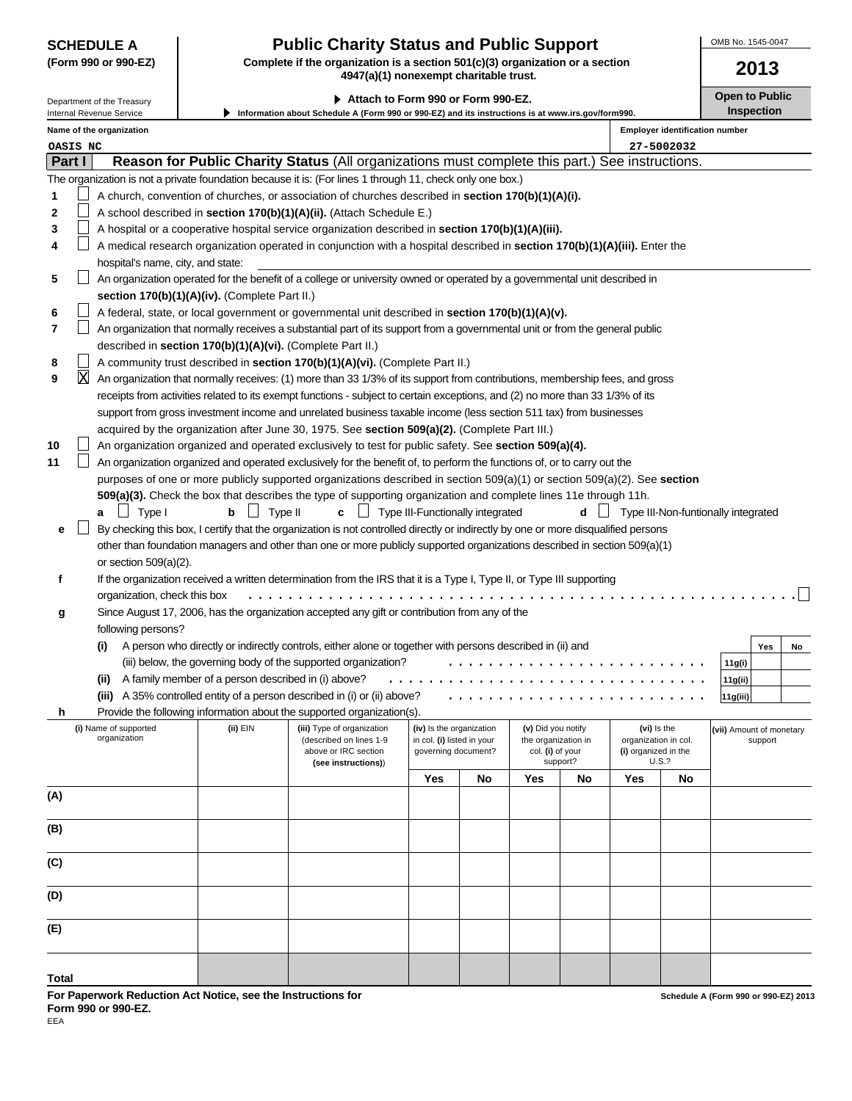# **SCHEDULE A Public Charity Status and Public Support**

**(Form 990 or 990-EZ) Complete if the organization is a section 501(c)(3) organization or a section 4947(a)(1) nonexempt charitable trust.**

OMB No. 1545-0047

| (Form 990 or 990-EZ)<br>Complete if the organization is a section $501(c)(3)$ organization or a section<br>4947(a)(1) nonexempt charitable trust. |                                   |                                                            |                                                                                                                                    |                                  |    | 2013                |          |                      |                                       |                          |                   |    |  |
|---------------------------------------------------------------------------------------------------------------------------------------------------|-----------------------------------|------------------------------------------------------------|------------------------------------------------------------------------------------------------------------------------------------|----------------------------------|----|---------------------|----------|----------------------|---------------------------------------|--------------------------|-------------------|----|--|
|                                                                                                                                                   | Department of the Treasury        |                                                            | Attach to Form 990 or Form 990-EZ.                                                                                                 |                                  |    |                     |          |                      |                                       | <b>Open to Public</b>    |                   |    |  |
|                                                                                                                                                   | Internal Revenue Service          |                                                            | Information about Schedule A (Form 990 or 990-EZ) and its instructions is at www.irs.gov/form990.                                  |                                  |    |                     |          |                      |                                       |                          | <b>Inspection</b> |    |  |
|                                                                                                                                                   | Name of the organization          |                                                            |                                                                                                                                    |                                  |    |                     |          |                      | <b>Employer identification number</b> |                          |                   |    |  |
| OASIS NC                                                                                                                                          |                                   |                                                            |                                                                                                                                    |                                  |    |                     |          |                      | 27-5002032                            |                          |                   |    |  |
| Part I                                                                                                                                            |                                   |                                                            | Reason for Public Charity Status (All organizations must complete this part.) See instructions.                                    |                                  |    |                     |          |                      |                                       |                          |                   |    |  |
|                                                                                                                                                   |                                   |                                                            | The organization is not a private foundation because it is: (For lines 1 through 11, check only one box.)                          |                                  |    |                     |          |                      |                                       |                          |                   |    |  |
| 1                                                                                                                                                 |                                   |                                                            | A church, convention of churches, or association of churches described in section 170(b)(1)(A)(i).                                 |                                  |    |                     |          |                      |                                       |                          |                   |    |  |
| 2                                                                                                                                                 |                                   |                                                            | A school described in section 170(b)(1)(A)(ii). (Attach Schedule E.)                                                               |                                  |    |                     |          |                      |                                       |                          |                   |    |  |
| 3                                                                                                                                                 |                                   |                                                            | A hospital or a cooperative hospital service organization described in section 170(b)(1)(A)(iii).                                  |                                  |    |                     |          |                      |                                       |                          |                   |    |  |
| 4                                                                                                                                                 |                                   |                                                            | A medical research organization operated in conjunction with a hospital described in section 170(b)(1)(A)(iii). Enter the          |                                  |    |                     |          |                      |                                       |                          |                   |    |  |
|                                                                                                                                                   | hospital's name, city, and state: |                                                            |                                                                                                                                    |                                  |    |                     |          |                      |                                       |                          |                   |    |  |
| 5                                                                                                                                                 |                                   |                                                            | An organization operated for the benefit of a college or university owned or operated by a governmental unit described in          |                                  |    |                     |          |                      |                                       |                          |                   |    |  |
|                                                                                                                                                   |                                   | section 170(b)(1)(A)(iv). (Complete Part II.)              |                                                                                                                                    |                                  |    |                     |          |                      |                                       |                          |                   |    |  |
| 6                                                                                                                                                 |                                   |                                                            | A federal, state, or local government or governmental unit described in section 170(b)(1)(A)(v).                                   |                                  |    |                     |          |                      |                                       |                          |                   |    |  |
| 7                                                                                                                                                 |                                   |                                                            | An organization that normally receives a substantial part of its support from a governmental unit or from the general public       |                                  |    |                     |          |                      |                                       |                          |                   |    |  |
|                                                                                                                                                   |                                   | described in section 170(b)(1)(A)(vi). (Complete Part II.) |                                                                                                                                    |                                  |    |                     |          |                      |                                       |                          |                   |    |  |
| 8                                                                                                                                                 |                                   |                                                            | A community trust described in section 170(b)(1)(A)(vi). (Complete Part II.)                                                       |                                  |    |                     |          |                      |                                       |                          |                   |    |  |
| X<br>9                                                                                                                                            |                                   |                                                            | An organization that normally receives: (1) more than 33 1/3% of its support from contributions, membership fees, and gross        |                                  |    |                     |          |                      |                                       |                          |                   |    |  |
|                                                                                                                                                   |                                   |                                                            | receipts from activities related to its exempt functions - subject to certain exceptions, and (2) no more than 33 1/3% of its      |                                  |    |                     |          |                      |                                       |                          |                   |    |  |
|                                                                                                                                                   |                                   |                                                            | support from gross investment income and unrelated business taxable income (less section 511 tax) from businesses                  |                                  |    |                     |          |                      |                                       |                          |                   |    |  |
|                                                                                                                                                   |                                   |                                                            | acquired by the organization after June 30, 1975. See section 509(a)(2). (Complete Part III.)                                      |                                  |    |                     |          |                      |                                       |                          |                   |    |  |
| 10                                                                                                                                                |                                   |                                                            | An organization organized and operated exclusively to test for public safety. See section 509(a)(4).                               |                                  |    |                     |          |                      |                                       |                          |                   |    |  |
| 11                                                                                                                                                |                                   |                                                            | An organization organized and operated exclusively for the benefit of, to perform the functions of, or to carry out the            |                                  |    |                     |          |                      |                                       |                          |                   |    |  |
|                                                                                                                                                   |                                   |                                                            | purposes of one or more publicly supported organizations described in section $509(a)(1)$ or section $509(a)(2)$ . See section     |                                  |    |                     |          |                      |                                       |                          |                   |    |  |
|                                                                                                                                                   |                                   |                                                            | 509(a)(3). Check the box that describes the type of supporting organization and complete lines 11e through 11h.                    |                                  |    |                     |          |                      |                                       |                          |                   |    |  |
|                                                                                                                                                   | Type I<br>$\mathsf{L}$<br>a       | Type II<br>b                                               | с                                                                                                                                  | Type III-Functionally integrated |    |                     | d        |                      | Type III-Non-funtionally integrated   |                          |                   |    |  |
| е                                                                                                                                                 |                                   |                                                            | By checking this box, I certify that the organization is not controlled directly or indirectly by one or more disqualified persons |                                  |    |                     |          |                      |                                       |                          |                   |    |  |
|                                                                                                                                                   | or section $509(a)(2)$ .          |                                                            | other than foundation managers and other than one or more publicly supported organizations described in section 509(a)(1)          |                                  |    |                     |          |                      |                                       |                          |                   |    |  |
| f                                                                                                                                                 |                                   |                                                            | If the organization received a written determination from the IRS that it is a Type I, Type II, or Type III supporting             |                                  |    |                     |          |                      |                                       |                          |                   |    |  |
|                                                                                                                                                   | organization, check this box      |                                                            |                                                                                                                                    |                                  |    |                     |          |                      |                                       |                          |                   |    |  |
|                                                                                                                                                   |                                   |                                                            | Since August 17, 2006, has the organization accepted any gift or contribution from any of the                                      |                                  |    |                     |          |                      |                                       |                          |                   |    |  |
| g                                                                                                                                                 | following persons?                |                                                            |                                                                                                                                    |                                  |    |                     |          |                      |                                       |                          |                   |    |  |
|                                                                                                                                                   | (i)                               |                                                            | A person who directly or indirectly controls, either alone or together with persons described in (ii) and                          |                                  |    |                     |          |                      |                                       |                          | Yes               | No |  |
|                                                                                                                                                   |                                   |                                                            | (iii) below, the governing body of the supported organization?                                                                     |                                  |    |                     |          |                      |                                       | 11g(i)                   |                   |    |  |
|                                                                                                                                                   | (ii)                              | A family member of a person described in (i) above?        |                                                                                                                                    |                                  |    |                     |          |                      |                                       | 11g(ii)                  |                   |    |  |
|                                                                                                                                                   |                                   |                                                            | (iii) A 35% controlled entity of a person described in (i) or (ii) above?                                                          |                                  |    |                     |          |                      |                                       | 11g(iii)                 |                   |    |  |
| h                                                                                                                                                 |                                   |                                                            | Provide the following information about the supported organization(s).                                                             |                                  |    |                     |          |                      |                                       |                          |                   |    |  |
|                                                                                                                                                   | (i) Name of supported             | (ii) EIN                                                   | (iii) Type of organization                                                                                                         | (iv) Is the organization         |    | (v) Did you notify  |          | (vi) Is the          |                                       | (vii) Amount of monetary |                   |    |  |
|                                                                                                                                                   | organization                      |                                                            | (described on lines 1-9                                                                                                            | in col. (i) listed in your       |    | the organization in |          | organization in col. |                                       |                          | support           |    |  |
|                                                                                                                                                   |                                   |                                                            | above or IRC section<br>(see instructions))                                                                                        | governing document?              |    | col. (i) of your    | support? | (i) organized in the | U.S.?                                 |                          |                   |    |  |
|                                                                                                                                                   |                                   |                                                            |                                                                                                                                    | Yes                              | No | Yes                 | No       | Yes                  | No                                    |                          |                   |    |  |
| (A)                                                                                                                                               |                                   |                                                            |                                                                                                                                    |                                  |    |                     |          |                      |                                       |                          |                   |    |  |
|                                                                                                                                                   |                                   |                                                            |                                                                                                                                    |                                  |    |                     |          |                      |                                       |                          |                   |    |  |
| (B)                                                                                                                                               |                                   |                                                            |                                                                                                                                    |                                  |    |                     |          |                      |                                       |                          |                   |    |  |
|                                                                                                                                                   |                                   |                                                            |                                                                                                                                    |                                  |    |                     |          |                      |                                       |                          |                   |    |  |
| (C)                                                                                                                                               |                                   |                                                            |                                                                                                                                    |                                  |    |                     |          |                      |                                       |                          |                   |    |  |
|                                                                                                                                                   |                                   |                                                            |                                                                                                                                    |                                  |    |                     |          |                      |                                       |                          |                   |    |  |
| (D)                                                                                                                                               |                                   |                                                            |                                                                                                                                    |                                  |    |                     |          |                      |                                       |                          |                   |    |  |
|                                                                                                                                                   |                                   |                                                            |                                                                                                                                    |                                  |    |                     |          |                      |                                       |                          |                   |    |  |
| (E)                                                                                                                                               |                                   |                                                            |                                                                                                                                    |                                  |    |                     |          |                      |                                       |                          |                   |    |  |
|                                                                                                                                                   |                                   |                                                            |                                                                                                                                    |                                  |    |                     |          |                      |                                       |                          |                   |    |  |
|                                                                                                                                                   |                                   |                                                            |                                                                                                                                    |                                  |    |                     |          |                      |                                       |                          |                   |    |  |
| <b>Total</b>                                                                                                                                      |                                   |                                                            |                                                                                                                                    |                                  |    |                     |          |                      |                                       |                          |                   |    |  |

**For Paperwork Reduction Act Notice, see the Instructions for Form 990 or 990-EZ.**

EEA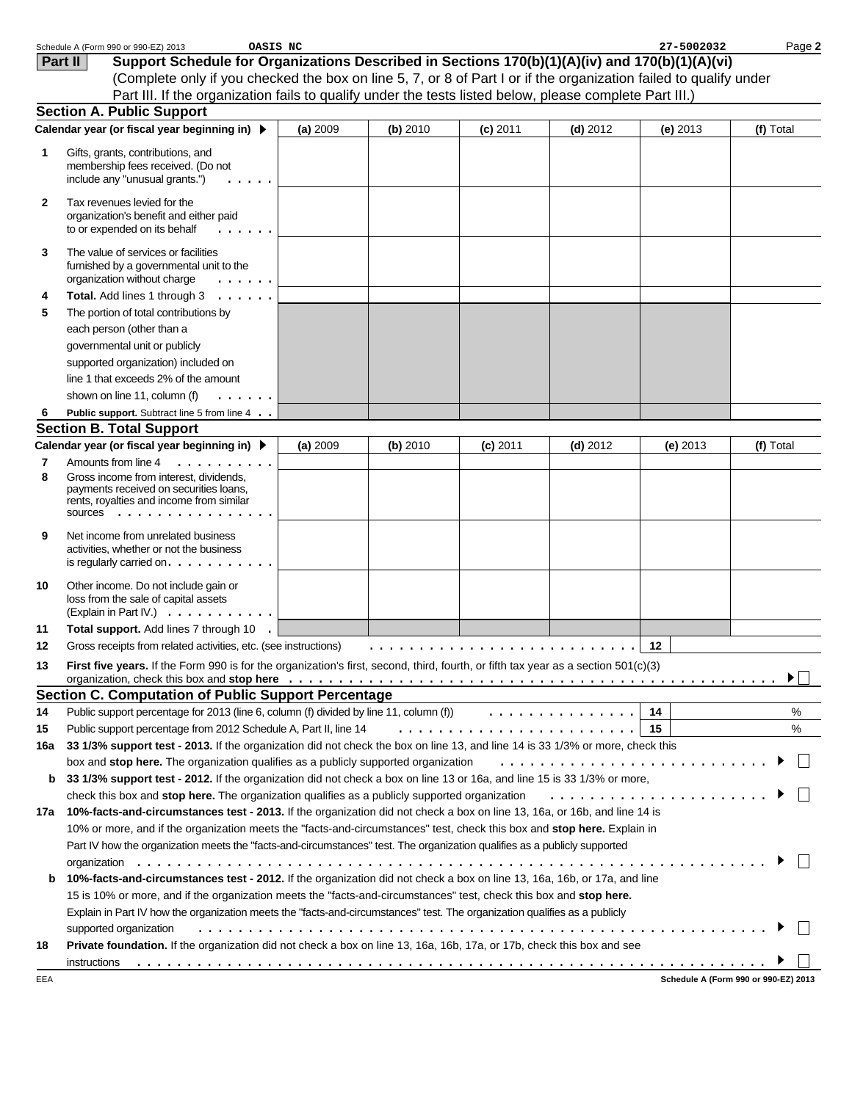|              | Schedule A (Form 990 or 990-EZ) 2013<br>OASIS NC                                                                                                                                                                |          |          |            |            | 27-5002032 | Page 2                               |
|--------------|-----------------------------------------------------------------------------------------------------------------------------------------------------------------------------------------------------------------|----------|----------|------------|------------|------------|--------------------------------------|
|              | Support Schedule for Organizations Described in Sections 170(b)(1)(A)(iv) and 170(b)(1)(A)(vi)<br>Part II                                                                                                       |          |          |            |            |            |                                      |
|              | (Complete only if you checked the box on line 5, 7, or 8 of Part I or if the organization failed to qualify under                                                                                               |          |          |            |            |            |                                      |
|              | Part III. If the organization fails to qualify under the tests listed below, please complete Part III.)                                                                                                         |          |          |            |            |            |                                      |
|              | <b>Section A. Public Support</b>                                                                                                                                                                                |          |          |            |            |            |                                      |
|              | Calendar year (or fiscal year beginning in) ▶                                                                                                                                                                   | (a) 2009 | (b) 2010 | $(c)$ 2011 | $(d)$ 2012 | $(e)$ 2013 | (f) Total                            |
| 1            | Gifts, grants, contributions, and                                                                                                                                                                               |          |          |            |            |            |                                      |
|              | membership fees received. (Do not                                                                                                                                                                               |          |          |            |            |            |                                      |
|              | include any "unusual grants.")                                                                                                                                                                                  |          |          |            |            |            |                                      |
| $\mathbf{2}$ | Tax revenues levied for the                                                                                                                                                                                     |          |          |            |            |            |                                      |
|              | organization's benefit and either paid                                                                                                                                                                          |          |          |            |            |            |                                      |
|              | to or expended on its behalf<br>$\frac{1}{2} \left( \frac{1}{2} \right) \left( \frac{1}{2} \right) \left( \frac{1}{2} \right) \left( \frac{1}{2} \right) \left( \frac{1}{2} \right) \left( \frac{1}{2} \right)$ |          |          |            |            |            |                                      |
| 3            | The value of services or facilities                                                                                                                                                                             |          |          |            |            |            |                                      |
|              | furnished by a governmental unit to the                                                                                                                                                                         |          |          |            |            |            |                                      |
|              | organization without charge<br>.                                                                                                                                                                                |          |          |            |            |            |                                      |
| 4            | Total. Add lines 1 through 3                                                                                                                                                                                    |          |          |            |            |            |                                      |
| 5            | The portion of total contributions by                                                                                                                                                                           |          |          |            |            |            |                                      |
|              | each person (other than a                                                                                                                                                                                       |          |          |            |            |            |                                      |
|              | governmental unit or publicly                                                                                                                                                                                   |          |          |            |            |            |                                      |
|              | supported organization) included on                                                                                                                                                                             |          |          |            |            |            |                                      |
|              | line 1 that exceeds 2% of the amount                                                                                                                                                                            |          |          |            |            |            |                                      |
|              | shown on line 11, column (f)<br>.                                                                                                                                                                               |          |          |            |            |            |                                      |
| 6            | Public support. Subtract line 5 from line 4                                                                                                                                                                     |          |          |            |            |            |                                      |
|              | <b>Section B. Total Support</b>                                                                                                                                                                                 |          |          |            |            |            |                                      |
|              | Calendar year (or fiscal year beginning in) ▶                                                                                                                                                                   | (a) 2009 | (b) 2010 | $(c)$ 2011 | $(d)$ 2012 | $(e)$ 2013 | (f) Total                            |
| 7            | Amounts from line 4<br>.                                                                                                                                                                                        |          |          |            |            |            |                                      |
| 8            | Gross income from interest, dividends,<br>payments received on securities loans,                                                                                                                                |          |          |            |            |            |                                      |
|              | rents, royalties and income from similar                                                                                                                                                                        |          |          |            |            |            |                                      |
|              | SOUICES                                                                                                                                                                                                         |          |          |            |            |            |                                      |
| 9            | Net income from unrelated business                                                                                                                                                                              |          |          |            |            |            |                                      |
|              | activities, whether or not the business                                                                                                                                                                         |          |          |            |            |            |                                      |
|              | is regularly carried on. $\ldots$ . $\ldots$ .                                                                                                                                                                  |          |          |            |            |            |                                      |
| 10           | Other income. Do not include gain or                                                                                                                                                                            |          |          |            |            |            |                                      |
|              | loss from the sale of capital assets                                                                                                                                                                            |          |          |            |            |            |                                      |
|              | (Explain in Part IV.) $\ldots$ , $\ldots$                                                                                                                                                                       |          |          |            |            |            |                                      |
| 11           | Total support. Add lines 7 through 10 .                                                                                                                                                                         |          |          |            |            |            |                                      |
| 12           | Gross receipts from related activities, etc. (see instructions)                                                                                                                                                 |          |          |            |            | 12         |                                      |
| 13           | First five years. If the Form 990 is for the organization's first, second, third, fourth, or fifth tax year as a section 501(c)(3)                                                                              |          |          |            |            |            |                                      |
|              |                                                                                                                                                                                                                 |          |          |            |            |            | ▶                                    |
|              | <b>Section C. Computation of Public Support Percentage</b><br>Public support percentage for 2013 (line 6, column (f) divided by line 11, column (f) $\ldots \ldots \ldots \ldots$                               |          |          |            |            | 14         | $\%$                                 |
| 14           | Public support percentage from 2012 Schedule A, Part II, line 14                                                                                                                                                |          |          |            |            | 15         | $\%$                                 |
| 15<br>16a    | 33 1/3% support test - 2013. If the organization did not check the box on line 13, and line 14 is 33 1/3% or more, check this                                                                                   |          |          |            |            |            |                                      |
|              | box and stop here. The organization qualifies as a publicly supported organization                                                                                                                              |          |          |            |            |            |                                      |
| b            | 33 1/3% support test - 2012. If the organization did not check a box on line 13 or 16a, and line 15 is 33 1/3% or more,                                                                                         |          |          |            |            |            |                                      |
|              | check this box and stop here. The organization qualifies as a publicly supported organization                                                                                                                   |          |          |            |            |            |                                      |
| 17a          | 10%-facts-and-circumstances test - 2013. If the organization did not check a box on line 13, 16a, or 16b, and line 14 is                                                                                        |          |          |            |            |            |                                      |
|              | 10% or more, and if the organization meets the "facts-and-circumstances" test, check this box and stop here. Explain in                                                                                         |          |          |            |            |            |                                      |
|              | Part IV how the organization meets the "facts-and-circumstances" test. The organization qualifies as a publicly supported                                                                                       |          |          |            |            |            |                                      |
|              |                                                                                                                                                                                                                 |          |          |            |            |            |                                      |
| b            | 10%-facts-and-circumstances test - 2012. If the organization did not check a box on line 13, 16a, 16b, or 17a, and line                                                                                         |          |          |            |            |            |                                      |
|              | 15 is 10% or more, and if the organization meets the "facts-and-circumstances" test, check this box and stop here.                                                                                              |          |          |            |            |            |                                      |
|              | Explain in Part IV how the organization meets the "facts-and-circumstances" test. The organization qualifies as a publicly                                                                                      |          |          |            |            |            |                                      |
|              | supported organization                                                                                                                                                                                          |          |          |            |            |            |                                      |
| 18           | Private foundation. If the organization did not check a box on line 13, 16a, 16b, 17a, or 17b, check this box and see                                                                                           |          |          |            |            |            |                                      |
|              | instructions                                                                                                                                                                                                    |          |          |            |            |            |                                      |
| EEA          |                                                                                                                                                                                                                 |          |          |            |            |            | Schedule A (Form 990 or 990-EZ) 2013 |
|              |                                                                                                                                                                                                                 |          |          |            |            |            |                                      |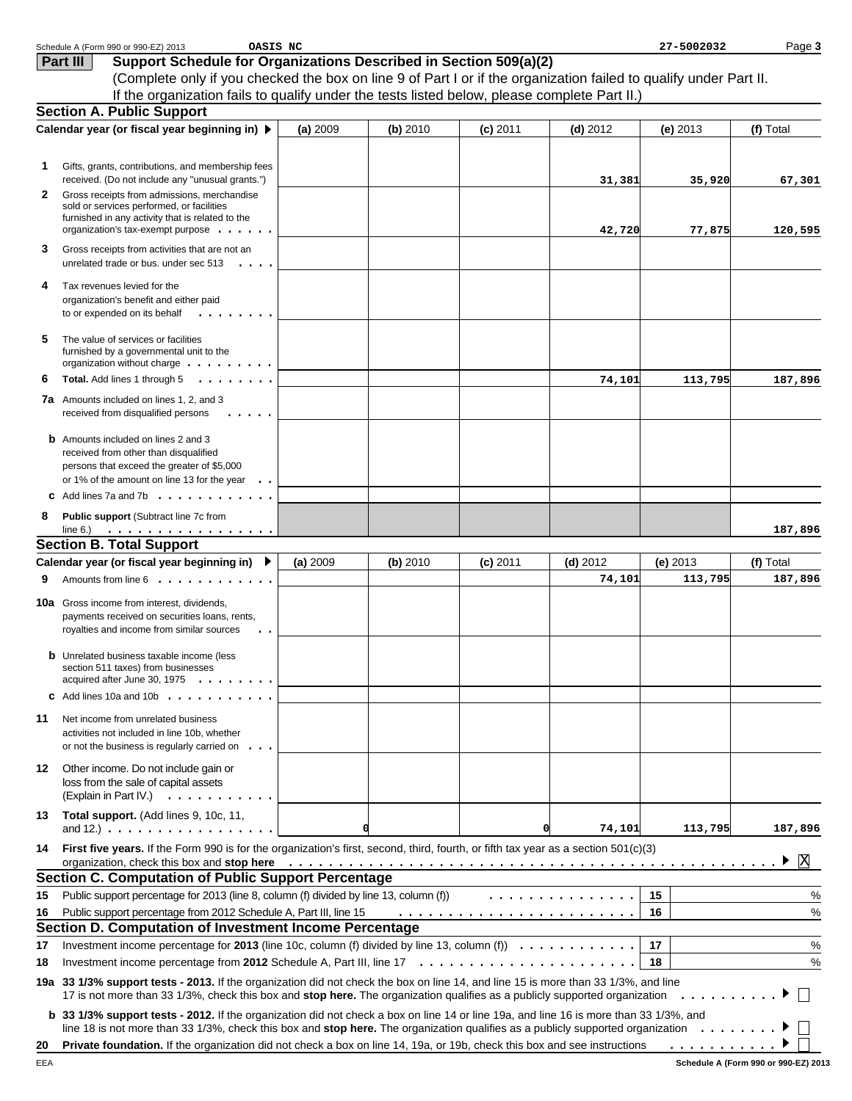|    | Schedule A (Form 990 or 990-EZ) 2013<br>OASIS NC                                                                                                                                                                                                                                         |          |          |            |            | 27-5002032 | Page 3       |
|----|------------------------------------------------------------------------------------------------------------------------------------------------------------------------------------------------------------------------------------------------------------------------------------------|----------|----------|------------|------------|------------|--------------|
|    | Support Schedule for Organizations Described in Section 509(a)(2)<br>Part III                                                                                                                                                                                                            |          |          |            |            |            |              |
|    | (Complete only if you checked the box on line 9 of Part I or if the organization failed to qualify under Part II.                                                                                                                                                                        |          |          |            |            |            |              |
|    | If the organization fails to qualify under the tests listed below, please complete Part II.)                                                                                                                                                                                             |          |          |            |            |            |              |
|    | <b>Section A. Public Support</b>                                                                                                                                                                                                                                                         |          |          |            |            |            |              |
|    | Calendar year (or fiscal year beginning in) ▶                                                                                                                                                                                                                                            | (a) 2009 | (b) 2010 | $(c)$ 2011 | $(d)$ 2012 | $(e)$ 2013 | (f) Total    |
|    |                                                                                                                                                                                                                                                                                          |          |          |            |            |            |              |
| 1. | Gifts, grants, contributions, and membership fees                                                                                                                                                                                                                                        |          |          |            |            |            |              |
|    | received. (Do not include any "unusual grants.")                                                                                                                                                                                                                                         |          |          |            | 31,381     | 35,920     | 67,301       |
| 2  | Gross receipts from admissions, merchandise                                                                                                                                                                                                                                              |          |          |            |            |            |              |
|    | sold or services performed, or facilities                                                                                                                                                                                                                                                |          |          |            |            |            |              |
|    | furnished in any activity that is related to the<br>organization's tax-exempt purpose $\ldots$                                                                                                                                                                                           |          |          |            | 42,720     | 77,875     | 120,595      |
| 3  |                                                                                                                                                                                                                                                                                          |          |          |            |            |            |              |
|    | Gross receipts from activities that are not an<br>unrelated trade or bus. under sec 513<br>$\cdot$                                                                                                                                                                                       |          |          |            |            |            |              |
|    |                                                                                                                                                                                                                                                                                          |          |          |            |            |            |              |
| 4  | Tax revenues levied for the                                                                                                                                                                                                                                                              |          |          |            |            |            |              |
|    | organization's benefit and either paid<br>to or expended on its behalf<br>$\begin{array}{cccccccccccccc} \bullet & \bullet & \bullet & \bullet & \bullet & \bullet & \bullet & \bullet & \bullet & \bullet & \bullet \end{array}$                                                        |          |          |            |            |            |              |
|    |                                                                                                                                                                                                                                                                                          |          |          |            |            |            |              |
| 5  | The value of services or facilities                                                                                                                                                                                                                                                      |          |          |            |            |            |              |
|    | furnished by a governmental unit to the<br>organization without charge $\dots \dots \dots$                                                                                                                                                                                               |          |          |            |            |            |              |
| 6  | Total. Add lines 1 through 5<br>.                                                                                                                                                                                                                                                        |          |          |            | 74,101     | 113,795    | 187,896      |
|    |                                                                                                                                                                                                                                                                                          |          |          |            |            |            |              |
|    | <b>7a</b> Amounts included on lines 1, 2, and 3<br>received from disqualified persons                                                                                                                                                                                                    |          |          |            |            |            |              |
|    |                                                                                                                                                                                                                                                                                          |          |          |            |            |            |              |
|    | <b>b</b> Amounts included on lines 2 and 3                                                                                                                                                                                                                                               |          |          |            |            |            |              |
|    | received from other than disqualified                                                                                                                                                                                                                                                    |          |          |            |            |            |              |
|    | persons that exceed the greater of \$5,000<br>or 1% of the amount on line 13 for the year                                                                                                                                                                                                |          |          |            |            |            |              |
|    | <b>c</b> Add lines 7a and 7b $\cdot \cdot \cdot \cdot \cdot \cdot \cdot \cdot \cdot \cdot$                                                                                                                                                                                               |          |          |            |            |            |              |
|    |                                                                                                                                                                                                                                                                                          |          |          |            |            |            |              |
| 8  | Public support (Subtract line 7c from<br>. <u>.</u><br>line $6$ .)                                                                                                                                                                                                                       |          |          |            |            |            | 187,896      |
|    | <b>Section B. Total Support</b>                                                                                                                                                                                                                                                          |          |          |            |            |            |              |
|    | Calendar year (or fiscal year beginning in) ▶                                                                                                                                                                                                                                            | (a) 2009 | (b) 2010 | $(c)$ 2011 | $(d)$ 2012 | $(e)$ 2013 | (f) Total    |
| 9  | Amounts from line 6                                                                                                                                                                                                                                                                      |          |          |            | 74,101     | 113,795    | 187,896      |
|    |                                                                                                                                                                                                                                                                                          |          |          |            |            |            |              |
|    | <b>10a</b> Gross income from interest, dividends,                                                                                                                                                                                                                                        |          |          |            |            |            |              |
|    | payments received on securities loans, rents,<br>royalties and income from similar sources                                                                                                                                                                                               |          |          |            |            |            |              |
|    |                                                                                                                                                                                                                                                                                          |          |          |            |            |            |              |
|    | <b>b</b> Unrelated business taxable income (less                                                                                                                                                                                                                                         |          |          |            |            |            |              |
|    | section 511 taxes) from businesses<br>acquired after June 30, 1975<br>.                                                                                                                                                                                                                  |          |          |            |            |            |              |
|    | <b>c</b> Add lines 10a and 10b $\ldots$                                                                                                                                                                                                                                                  |          |          |            |            |            |              |
|    |                                                                                                                                                                                                                                                                                          |          |          |            |            |            |              |
| 11 | Net income from unrelated business                                                                                                                                                                                                                                                       |          |          |            |            |            |              |
|    | activities not included in line 10b, whether                                                                                                                                                                                                                                             |          |          |            |            |            |              |
|    | or not the business is regularly carried on $\ldots$                                                                                                                                                                                                                                     |          |          |            |            |            |              |
| 12 | Other income. Do not include gain or                                                                                                                                                                                                                                                     |          |          |            |            |            |              |
|    | loss from the sale of capital assets<br>(Explain in Part IV.) $\ldots$ , $\ldots$ , $\ldots$                                                                                                                                                                                             |          |          |            |            |            |              |
|    |                                                                                                                                                                                                                                                                                          |          |          |            |            |            |              |
| 13 | Total support. (Add lines 9, 10c, 11,<br>and 12.) $\ldots$ $\ldots$ $\ldots$ $\ldots$ $\ldots$ $\ldots$ $\ldots$                                                                                                                                                                         | d        |          | 0          | 74,101     | 113,795    | 187,896      |
|    |                                                                                                                                                                                                                                                                                          |          |          |            |            |            |              |
| 14 | First five years. If the Form 990 is for the organization's first, second, third, fourth, or fifth tax year as a section 501(c)(3)<br>organization, check this box and stop here $\dots \dots \dots \dots \dots \dots \dots \dots \dots \dots \dots \dots \dots \dots \dots \dots \dots$ |          |          |            |            |            | X            |
|    | <b>Section C. Computation of Public Support Percentage</b>                                                                                                                                                                                                                               |          |          |            |            |            |              |
| 15 | Public support percentage for 2013 (line 8, column (f) divided by line 13, column (f))                                                                                                                                                                                                   |          |          |            | .          | 15         | %            |
| 16 | Public support percentage from 2012 Schedule A, Part III, line 15                                                                                                                                                                                                                        |          |          |            |            | 16         | $\%$         |
|    | Section D. Computation of Investment Income Percentage                                                                                                                                                                                                                                   |          |          |            |            |            |              |
|    | Investment income percentage for 2013 (line 10c, column (f) divided by line 13, column (f) $\ldots \ldots \ldots \ldots$                                                                                                                                                                 |          |          |            |            | 17         |              |
| 17 | Investment income percentage from 2012 Schedule A, Part III, line $17 \ldots \ldots \ldots \ldots \ldots \ldots \ldots$                                                                                                                                                                  |          |          |            |            | 18         | $\%$<br>$\%$ |
| 18 |                                                                                                                                                                                                                                                                                          |          |          |            |            |            |              |
|    | 19a 33 1/3% support tests - 2013. If the organization did not check the box on line 14, and line 15 is more than 33 1/3%, and line                                                                                                                                                       |          |          |            |            |            |              |
|    | 17 is not more than 33 1/3%, check this box and stop here. The organization qualifies as a publicly supported organization                                                                                                                                                               |          |          |            |            | .          |              |
|    | <b>b</b> 33 1/3% support tests - 2012. If the organization did not check a box on line 14 or line 19a, and line 16 is more than 33 1/3%, and                                                                                                                                             |          |          |            |            |            |              |
|    | line 18 is not more than 33 1/3%, check this box and stop here. The organization qualifies as a publicly supported organization $\ldots \ldots \ldots$                                                                                                                                   |          |          |            |            |            |              |
| 20 |                                                                                                                                                                                                                                                                                          |          |          |            |            |            |              |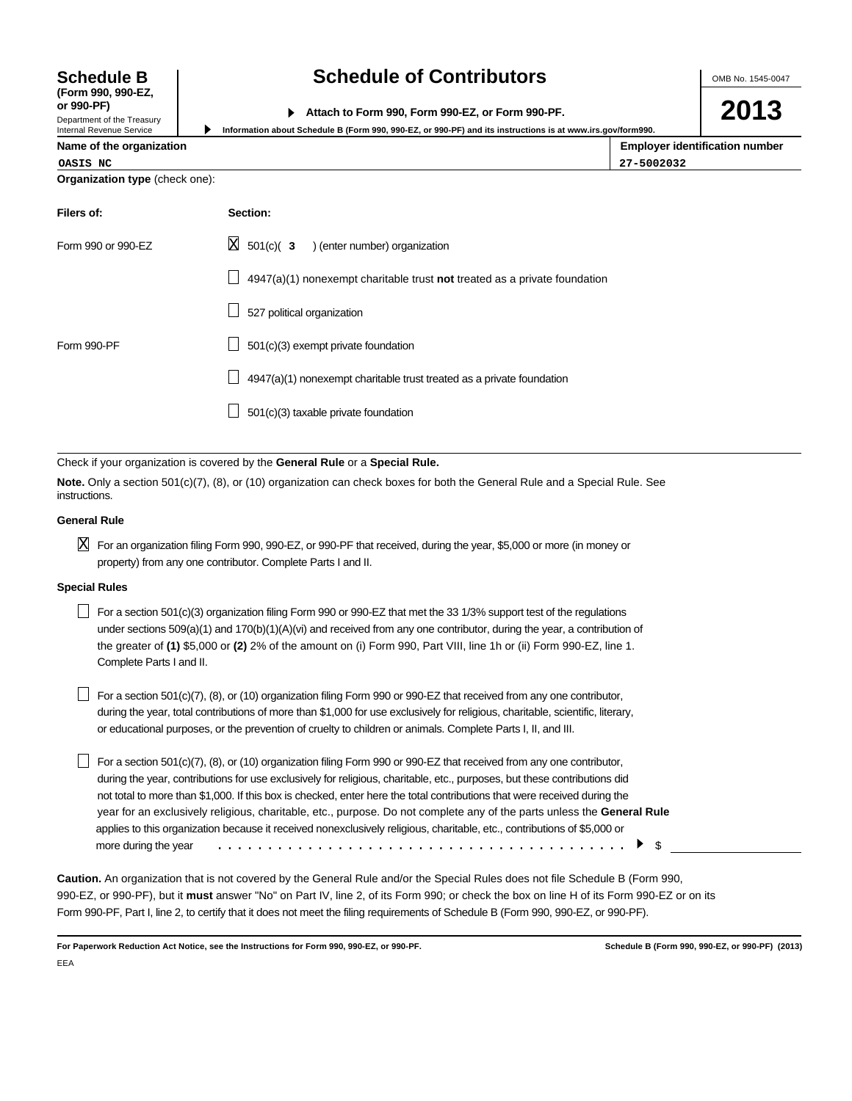OMB No. 1545-0047

| or 990-PF)                   |                                                  |
|------------------------------|--------------------------------------------------|
|                              | Attach to Form 990, Form 990-EZ, or Form 990-PF. |
| Donasterant of the Transmiss |                                                  |

**Information about Schedule B (Form 990, 990-EZ, or 990-PF) and its instructions is at www.irs.gov/form990.**

**2013**

|  |  | Name of the organization |
|--|--|--------------------------|
|--|--|--------------------------|

**Organization type** (check one):

| OASIS | NC |
|-------|----|
|       |    |

**Schedule B (Form 990, 990-EZ,**

Department of the Treasury Internal Revenue Service

▶

| Name of the organization | <b>Employer identification number</b> |
|--------------------------|---------------------------------------|
| OASIS NC                 | 27-5002032                            |

| Filers of:         | Section:                                                                    |
|--------------------|-----------------------------------------------------------------------------|
| Form 990 or 990-EZ | $\boxtimes$ 501(c)( 3 ) (enter number) organization                         |
|                    | $4947(a)(1)$ nonexempt charitable trust not treated as a private foundation |
|                    | 527 political organization                                                  |
| Form 990-PF        | 501(c)(3) exempt private foundation                                         |
|                    | 4947(a)(1) nonexempt charitable trust treated as a private foundation       |
|                    | 501(c)(3) taxable private foundation                                        |

Check if your organization is covered by the **General Rule** or a **Special Rule.**

**Note.** Only a section 501(c)(7), (8), or (10) organization can check boxes for both the General Rule and a Special Rule. See instructions.

#### **General Rule**

 $\boxtimes$  For an organization filing Form 990, 990-EZ, or 990-PF that received, during the year, \$5,000 or more (in money or property) from any one contributor. Complete Parts I and II.

### **Special Rules**

For a section 501(c)(3) organization filing Form 990 or 990-EZ that met the 33 1/3% support test of the regulations under sections 509(a)(1) and 170(b)(1)(A)(vi) and received from any one contributor, during the year, a contribution of the greater of **(1)** \$5,000 or **(2)** 2% of the amount on (i) Form 990, Part VIII, line 1h or (ii) Form 990-EZ, line 1. Complete Parts I and II.

 $\Box$  For a section 501(c)(7), (8), or (10) organization filing Form 990 or 990-EZ that received from any one contributor, during the year, total contributions of more than \$1,000 for use exclusively for religious, charitable, scientific, literary, or educational purposes, or the prevention of cruelty to children or animals. Complete Parts I, II, and III.

For a section 501(c)(7), (8), or (10) organization filing Form 990 or 990-EZ that received from any one contributor, during the year, contributions for use exclusively for religious, charitable, etc., purposes, but these contributions did not total to more than \$1,000. If this box is checked, enter here the total contributions that were received during the year for an exclusively religious, charitable, etc., purpose. Do not complete any of the parts unless the **General Rule** applies to this organization because it received nonexclusively religious, charitable, etc., contributions of \$5,000 or more during the year \$ .........................................

**Caution.** An organization that is not covered by the General Rule and/or the Special Rules does not file Schedule B (Form 990, 990-EZ, or 990-PF), but it **must** answer "No" on Part IV, line 2, of its Form 990; or check the box on line H of its Form 990-EZ or on its Form 990-PF, Part I, line 2, to certify that it does not meet the filing requirements of Schedule B (Form 990, 990-EZ, or 990-PF).

**For Paperwork Reduction Act Notice, see the Instructions for Form 990, 990-EZ, or 990-PF. Schedule B (Form 990, 990-EZ, or 990-PF) (2013)** EEA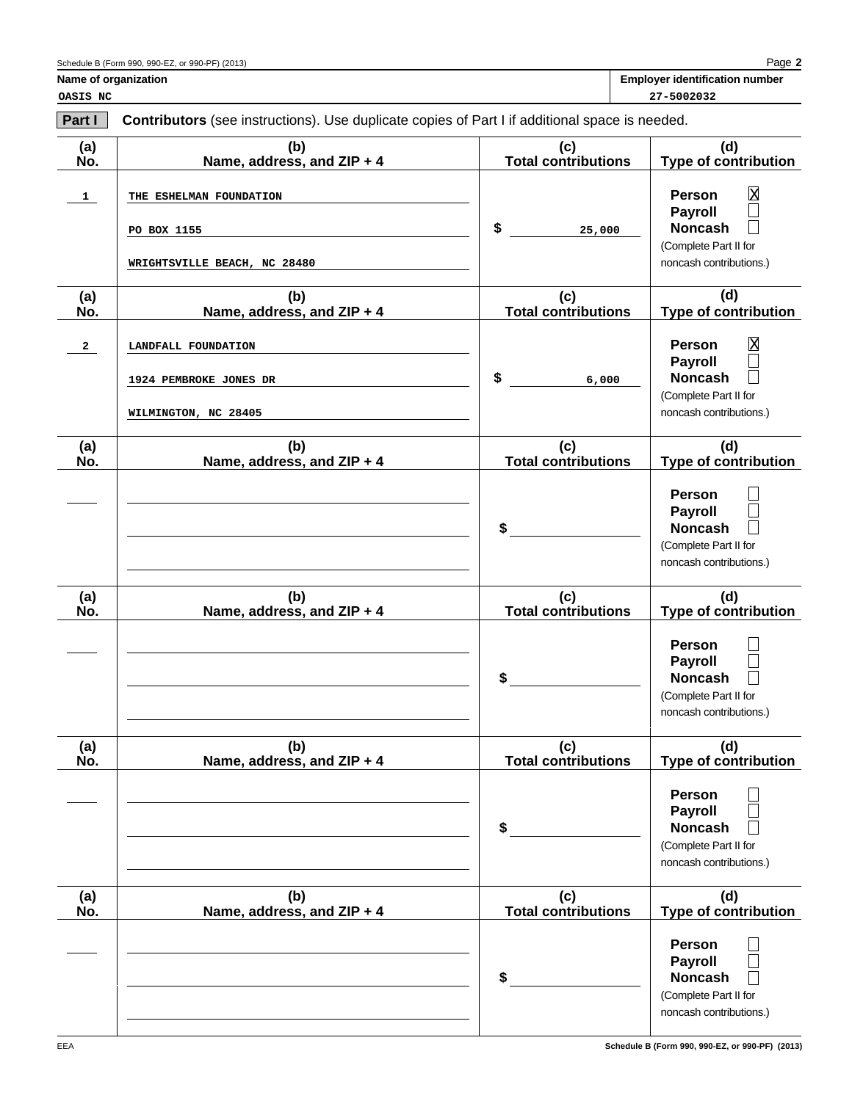| <b>Employer identification number</b> |
|---------------------------------------|
|                                       |

**OASIS NC 27-5002032**

| Part I       | Contributors (see instructions). Use duplicate copies of Part I if additional space is needed. |                                   |                                                                                                                                                              |  |
|--------------|------------------------------------------------------------------------------------------------|-----------------------------------|--------------------------------------------------------------------------------------------------------------------------------------------------------------|--|
| (a)<br>No.   | (b)<br>Name, address, and ZIP + 4                                                              | (c)<br><b>Total contributions</b> | (d)<br><b>Type of contribution</b>                                                                                                                           |  |
| $\mathbf{1}$ | THE ESHELMAN FOUNDATION<br>PO BOX 1155<br>WRIGHTSVILLE BEACH, NC 28480                         | \$<br>25,000                      | $\mathbf{\overline{X}}$<br><b>Person</b><br><b>Payroll</b><br>$\overline{\phantom{a}}$<br><b>Noncash</b><br>(Complete Part II for<br>noncash contributions.) |  |
| (a)<br>No.   | (b)<br>Name, address, and ZIP + 4                                                              | (c)<br><b>Total contributions</b> | (d)<br><b>Type of contribution</b>                                                                                                                           |  |
| $\mathbf{2}$ | LANDFALL FOUNDATION<br>1924 PEMBROKE JONES DR<br>WILMINGTON, NC 28405                          | \$<br>6,000                       | $\overline{\text{X}}$<br><b>Person</b><br><b>Payroll</b><br>$\overline{\phantom{a}}$<br><b>Noncash</b><br>(Complete Part II for<br>noncash contributions.)   |  |
| (a)<br>No.   | (b)<br>Name, address, and ZIP + 4                                                              | (c)<br><b>Total contributions</b> | (d)<br><b>Type of contribution</b>                                                                                                                           |  |
|              |                                                                                                | \$                                | <b>Person</b><br><b>Payroll</b><br><b>Noncash</b><br>(Complete Part II for<br>noncash contributions.)                                                        |  |
| (a)<br>No.   | (b)<br>Name, address, and ZIP + 4                                                              | (c)<br><b>Total contributions</b> | (d)<br><b>Type of contribution</b>                                                                                                                           |  |
|              |                                                                                                | \$                                | <b>Person</b><br><b>Payroll</b><br><b>Noncash</b><br>(Complete Part II for<br>noncash contributions.)                                                        |  |
| (a)<br>No.   | (b)<br>Name, address, and ZIP + 4                                                              | (c)<br><b>Total contributions</b> | (d)<br>Type of contribution                                                                                                                                  |  |
|              |                                                                                                | \$                                | <b>Person</b><br><b>Payroll</b><br><b>Noncash</b><br>(Complete Part II for<br>noncash contributions.)                                                        |  |
| (a)<br>No.   | (b)<br>Name, address, and ZIP + 4                                                              | (c)<br>Total contributions        | (d)<br>Type of contribution                                                                                                                                  |  |
|              |                                                                                                | \$                                | <b>Person</b><br><b>Payroll</b><br><b>Noncash</b><br>(Complete Part II for<br>noncash contributions.)                                                        |  |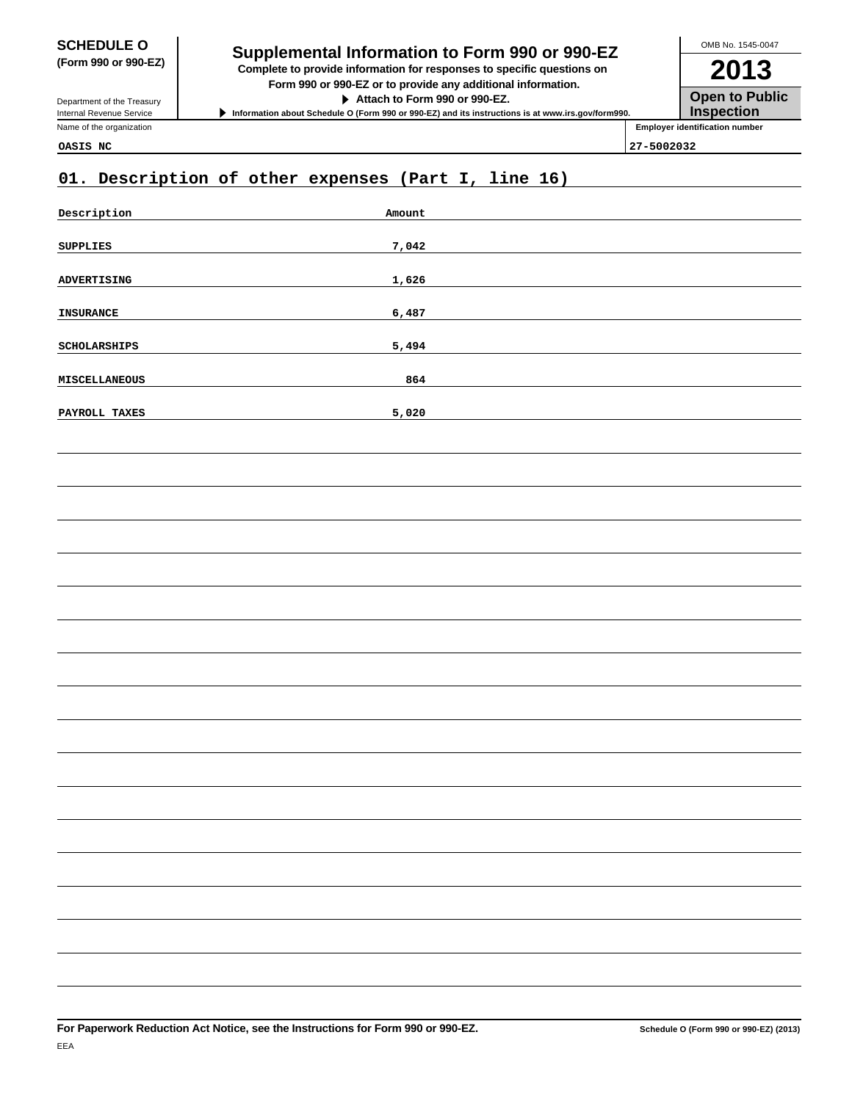Department of the Treasury Internal Revenue Service Name of the organization

# **SCHEDULE O**<br> **Supplemental Information to Form 990 or 990-EZ**<br> **Supplemental Information to Form 990 or 990-EZ**

**(Form 990 or 990-EZ) Complete to provide information for responses to specific questions on Form 990 or 990-EZ or to provide any additional information.**

**Attach to Form 990 or 990-EZ.**

**Information about Schedule O (Form 990 or 990-EZ) and its instructions is at www.irs.gov/form990.**

**2013 Open to Public Inspection Employer identification number** OMB No. 1545-0047

**OASIS NC 27-5002032**

## **01. Description of other expenses (Part I, line 16)**

| Description      | Amount |
|------------------|--------|
| ${\tt SUPPLIES}$ | 7,042  |
| ADVERTISING      | 1,626  |
| INSURANCE        | 6,487  |
| SCHOLARSHIPS     | 5,494  |
| MISCELLANEOUS    | 864    |
| PAYROLL TAXES    | 5,020  |
|                  |        |
|                  |        |
|                  |        |
|                  |        |
|                  |        |
|                  |        |
|                  |        |
|                  |        |
|                  |        |
|                  |        |
|                  |        |
|                  |        |
|                  |        |
|                  |        |
|                  |        |
|                  |        |
|                  |        |
|                  |        |